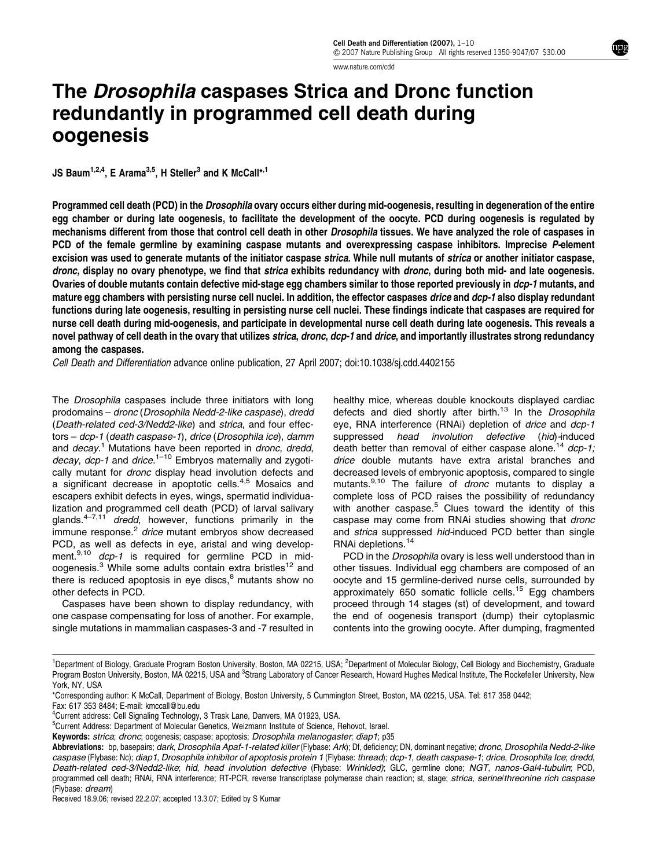www.nature.com/cdd

## The Drosophila caspases Strica and Dronc function redundantly in programmed cell death during oogenesis

JS Baum<sup>1,2,4</sup>, E Arama<sup>3,5</sup>, H Steller<sup>3</sup> and K McCall<sup>\*,1</sup>

Programmed cell death (PCD) in the *Drosophila* ovary occurs either during mid-oogenesis, resulting in degeneration of the entire egg chamber or during late oogenesis, to facilitate the development of the oocyte. PCD during oogenesis is regulated by mechanisms different from those that control cell death in other Drosophila tissues. We have analyzed the role of caspases in PCD of the female germline by examining caspase mutants and overexpressing caspase inhibitors. Imprecise P-element excision was used to generate mutants of the initiator caspase strica. While null mutants of strica or another initiator caspase, dronc, display no ovary phenotype, we find that strica exhibits redundancy with dronc, during both mid- and late oogenesis. Ovaries of double mutants contain defective mid-stage egg chambers similar to those reported previously in dcp-1 mutants, and mature egg chambers with persisting nurse cell nuclei. In addition, the effector caspases *drice* and dcp-1 also display redundant functions during late oogenesis, resulting in persisting nurse cell nuclei. These findings indicate that caspases are required for nurse cell death during mid-oogenesis, and participate in developmental nurse cell death during late oogenesis. This reveals a novel pathway of cell death in the ovary that utilizes strica, dronc, dcp-1 and drice, and importantly illustrates strong redundancy among the caspases.

Cell Death and Differentiation advance online publication, 27 April 2007; doi:10.1038/sj.cdd.4402155

The Drosophila caspases include three initiators with long prodomains – dronc (Drosophila Nedd-2-like caspase), dredd (Death-related ced-3/Nedd2-like) and strica, and four effectors – dcp-1 (death caspase-1), drice (Drosophila ice), damm and *decay*.<sup>1</sup> Mutations have been reported in *dronc, dredd,* decay, dcp-1 and drice.<sup>1-10</sup> Embryos maternally and zygotically mutant for dronc display head involution defects and a significant decrease in apoptotic cells.<sup>4,5</sup> Mosaics and escapers exhibit defects in eyes, wings, spermatid individualization and programmed cell death (PCD) of larval salivary glands. $4-7,11$  dredd, however, functions primarily in the  $\frac{1}{2}$  immune response.<sup>2</sup> drice mutant embryos show decreased PCD, as well as defects in eye, aristal and wing development.<sup>9,10</sup> dcp-1 is required for germline PCD in midoogenesis.<sup>3</sup> While some adults contain extra bristles<sup>12</sup> and there is reduced apoptosis in eye discs, $<sup>8</sup>$  mutants show no</sup> other defects in PCD.

Caspases have been shown to display redundancy, with one caspase compensating for loss of another. For example, single mutations in mammalian caspases-3 and -7 resulted in

healthy mice, whereas double knockouts displayed cardiac defects and died shortly after birth.<sup>13</sup> In the Drosophila eye, RNA interference (RNAi) depletion of drice and dcp-1 suppressed head involution defective (hid)-induced death better than removal of either caspase alone.<sup>14</sup>  $dcp-1$ ; drice double mutants have extra aristal branches and decreased levels of embryonic apoptosis, compared to single mutants.<sup>9,10</sup> The failure of dronc mutants to display a complete loss of PCD raises the possibility of redundancy with another caspase.<sup>5</sup> Clues toward the identity of this caspase may come from RNAi studies showing that dronc and *strica* suppressed *hid*-induced PCD better than single RNAi depletions.<sup>14</sup>

PCD in the *Drosophila* ovary is less well understood than in other tissues. Individual egg chambers are composed of an oocyte and 15 germline-derived nurse cells, surrounded by approximately  $650$  somatic follicle cells.<sup>15</sup> Egg chambers proceed through 14 stages (st) of development, and toward the end of oogenesis transport (dump) their cytoplasmic contents into the growing oocyte. After dumping, fragmented

Received 18.9.06; revised 22.2.07; accepted 13.3.07; Edited by S Kumar

<sup>&</sup>lt;sup>1</sup>Department of Biology, Graduate Program Boston University, Boston, MA 02215, USA; <sup>2</sup>Department of Molecular Biology, Cell Biology and Biochemistry, Graduate Program Boston University, Boston, MA 02215, USA and <sup>3</sup>Strang Laboratory of Cancer Research, Howard Hughes Medical Institute, The Rockefeller University, New York, NY, USA

<sup>\*</sup>Corresponding author: K McCall, Department of Biology, Boston University, 5 Cummington Street, Boston, MA 02215, USA. Tel: 617 358 0442; Fax: 617 353 8484; E-mail: kmccall@bu.edu

<sup>4</sup> Current address: Cell Signaling Technology, 3 Trask Lane, Danvers, MA 01923, USA.

<sup>&</sup>lt;sup>5</sup>Current Address: Department of Molecular Genetics, Weizmann Institute of Science, Rehovot, Israel.

Keywords: strica; dronc; oogenesis; caspase; apoptosis; Drosophila melanogaster; diap1; p35

Abbreviations: bp, basepairs; dark, Drosophila Apaf-1-related killer (Flybase; Ark); Df, deficiency; DN, dominant negative; dronc, Drosophila Nedd-2-like caspase (Flybase: Nc); diap1, Drosophila inhibitor of apoptosis protein 1 (Flybase: thread); dcp-1, death caspase-1; drice, Drosophila Ice; dredd, Death-related ced-3/Nedd2-like; hid, head involution defective (Flybase: Wrinkled); GLC, germline clone; NGT, nanos-Gal4-tubulin; PCD, programmed cell death; RNAi, RNA interference; RT-PCR, reverse transcriptase polymerase chain reaction; st. stage; strica, serine/threonine rich caspase (Flybase: dream)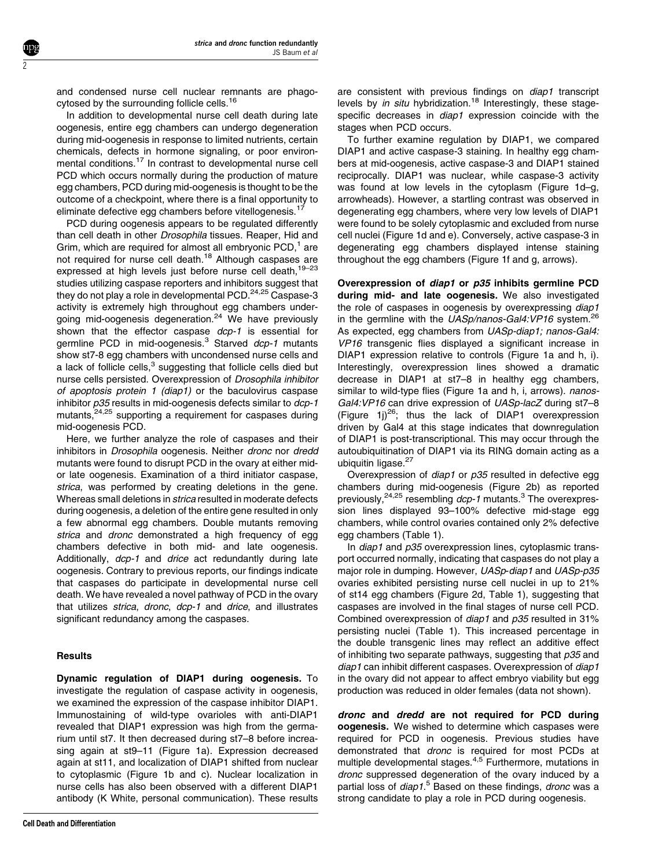and condensed nurse cell nuclear remnants are phagocytosed by the surrounding follicle cells.<sup>16</sup>

In addition to developmental nurse cell death during late oogenesis, entire egg chambers can undergo degeneration during mid-oogenesis in response to limited nutrients, certain chemicals, defects in hormone signaling, or poor environmental conditions.<sup>17</sup> In contrast to developmental nurse cell PCD which occurs normally during the production of mature egg chambers, PCD during mid-oogenesis is thought to be the outcome of a checkpoint, where there is a final opportunity to eliminate defective egg chambers before vitellogenesis.<sup>17</sup>

PCD during oogenesis appears to be regulated differently than cell death in other *Drosophila* tissues. Reaper, Hid and Grim, which are required for almost all embryonic  $PCD<sub>1</sub><sup>1</sup>$  are not required for nurse cell death.<sup>18</sup> Although caspases are expressed at high levels just before nurse cell death, 19-23 studies utilizing caspase reporters and inhibitors suggest that they do not play a role in developmental PCD. $24,25$  Caspase-3 activity is extremely high throughout egg chambers undergoing mid-oogenesis degeneration.<sup>24</sup> We have previously shown that the effector caspase dcp-1 is essential for germline PCD in mid-oogenesis. $3$  Starved  $dcp-1$  mutants show st7-8 egg chambers with uncondensed nurse cells and a lack of follicle cells, $3$  suggesting that follicle cells died but nurse cells persisted. Overexpression of Drosophila inhibitor of apoptosis protein 1 (diap1) or the baculovirus caspase inhibitor  $p35$  results in mid-oogenesis defects similar to  $dcp-1$ mutants.<sup>24,25</sup> supporting a requirement for caspases during mid-oogenesis PCD.

Here, we further analyze the role of caspases and their inhibitors in Drosophila oogenesis. Neither dronc nor dredd mutants were found to disrupt PCD in the ovary at either midor late oogenesis. Examination of a third initiator caspase, strica, was performed by creating deletions in the gene. Whereas small deletions in *strica* resulted in moderate defects during oogenesis, a deletion of the entire gene resulted in only a few abnormal egg chambers. Double mutants removing strica and *dronc* demonstrated a high frequency of egg chambers defective in both mid- and late oogenesis. Additionally, dcp-1 and drice act redundantly during late oogenesis. Contrary to previous reports, our findings indicate that caspases do participate in developmental nurse cell death. We have revealed a novel pathway of PCD in the ovary that utilizes strica, dronc, dcp-1 and drice, and illustrates significant redundancy among the caspases.

## **Results**

2

Dynamic regulation of DIAP1 during oogenesis. To investigate the regulation of caspase activity in oogenesis, we examined the expression of the caspase inhibitor DIAP1. Immunostaining of wild-type ovarioles with anti-DIAP1 revealed that DIAP1 expression was high from the germarium until st7. It then decreased during st7–8 before increasing again at st9–11 (Figure 1a). Expression decreased again at st11, and localization of DIAP1 shifted from nuclear to cytoplasmic (Figure 1b and c). Nuclear localization in nurse cells has also been observed with a different DIAP1 antibody (K White, personal communication). These results

are consistent with previous findings on diap1 transcript levels by in situ hybridization.<sup>18</sup> Interestingly, these stagespecific decreases in *diap1* expression coincide with the stages when PCD occurs.

To further examine regulation by DIAP1, we compared DIAP1 and active caspase-3 staining. In healthy egg chambers at mid-oogenesis, active caspase-3 and DIAP1 stained reciprocally. DIAP1 was nuclear, while caspase-3 activity was found at low levels in the cytoplasm (Figure 1d–g, arrowheads). However, a startling contrast was observed in degenerating egg chambers, where very low levels of DIAP1 were found to be solely cytoplasmic and excluded from nurse cell nuclei (Figure 1d and e). Conversely, active caspase-3 in degenerating egg chambers displayed intense staining throughout the egg chambers (Figure 1f and g, arrows).

Overexpression of diap1 or p35 inhibits germline PCD during mid- and late oogenesis. We also investigated the role of caspases in oogenesis by overexpressing diap1 in the germline with the UASp/nanos-Gal4:VP16 system.<sup>2</sup> As expected, egg chambers from UASp-diap1; nanos-Gal4: VP16 transgenic flies displayed a significant increase in DIAP1 expression relative to controls (Figure 1a and h, i). Interestingly, overexpression lines showed a dramatic decrease in DIAP1 at st7–8 in healthy egg chambers, similar to wild-type flies (Figure 1a and h, i, arrows), nanos-Gal4: VP16 can drive expression of UASp-lacZ during st7-8 (Figure  $1j^{26}$ ; thus the lack of DIAP1 overexpression driven by Gal4 at this stage indicates that downregulation of DIAP1 is post-transcriptional. This may occur through the autoubiquitination of DIAP1 via its RING domain acting as a ubiquitin ligase.<sup>27</sup>

Overexpression of diap1 or p35 resulted in defective egg chambers during mid-oogenesis (Figure 2b) as reported previously,<sup>24,25</sup> resembling dcp-1 mutants.<sup>3</sup> The overexpression lines displayed 93–100% defective mid-stage egg chambers, while control ovaries contained only 2% defective egg chambers (Table 1).

In *diap1* and *p35* overexpression lines, cytoplasmic transport occurred normally, indicating that caspases do not play a major role in dumping. However, UASp-diap1 and UASp-p35 ovaries exhibited persisting nurse cell nuclei in up to 21% of st14 egg chambers (Figure 2d, Table 1), suggesting that caspases are involved in the final stages of nurse cell PCD. Combined overexpression of diap1 and p35 resulted in 31% persisting nuclei (Table 1). This increased percentage in the double transgenic lines may reflect an additive effect of inhibiting two separate pathways, suggesting that  $p35$  and diap1 can inhibit different caspases. Overexpression of diap1 in the ovary did not appear to affect embryo viability but egg production was reduced in older females (data not shown).

dronc and dredd are not required for PCD during oogenesis. We wished to determine which caspases were required for PCD in oogenesis. Previous studies have demonstrated that dronc is required for most PCDs at multiple developmental stages.4,5 Furthermore, mutations in dronc suppressed degeneration of the ovary induced by a partial loss of *diap1*.<sup>5</sup> Based on these findings, *dronc* was a strong candidate to play a role in PCD during oogenesis.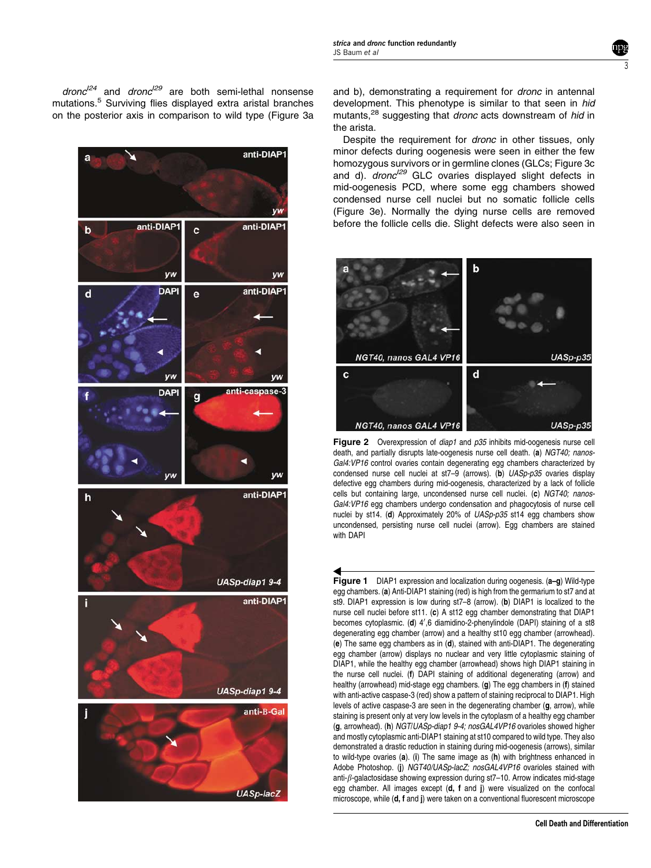$\frac{d}{2}$  and  $\frac{d}{2}$  are both semi-lethal nonsense mutations.<sup>5</sup> Surviving flies displayed extra aristal branches on the posterior axis in comparison to wild type (Figure 3a



and b), demonstrating a requirement for *dronc* in antennal development. This phenotype is similar to that seen in hid mutants.<sup>28</sup> suggesting that dronc acts downstream of hid in the arista.

Despite the requirement for dronc in other tissues, only minor defects during oogenesis were seen in either the few homozygous survivors or in germline clones (GLCs; Figure 3c and d).  $d$ ronc<sup> $129$ </sup> GLC ovaries displayed slight defects in mid-oogenesis PCD, where some egg chambers showed condensed nurse cell nuclei but no somatic follicle cells (Figure 3e). Normally the dying nurse cells are removed before the follicle cells die. Slight defects were also seen in



Figure 2 Overexpression of diap1 and p35 inhibits mid-oogenesis nurse cell death, and partially disrupts late-oogenesis nurse cell death. (a) NGT40; nanos-Gal4:VP16 control ovaries contain degenerating egg chambers characterized by condensed nurse cell nuclei at st7-9 (arrows). (b) UASp-p35 ovaries display defective egg chambers during mid-oogenesis, characterized by a lack of follicle cells but containing large, uncondensed nurse cell nuclei. (c) NGT40; nanos-Gal4:VP16 egg chambers undergo condensation and phagocytosis of nurse cell nuclei by st14. (d) Approximately 20% of UASp-p35 st14 egg chambers show uncondensed, persisting nurse cell nuclei (arrow). Egg chambers are stained with DAPI

Figure 1 DIAP1 expression and localization during oogenesis. (a–g) Wild-type egg chambers. (a) Anti-DIAP1 staining (red) is high from the germarium to st7 and at st9. DIAP1 expression is low during st7–8 (arrow). (b) DIAP1 is localized to the nurse cell nuclei before st11. (c) A st12 egg chamber demonstrating that DIAP1 becomes cytoplasmic. (d) 4',6 diamidino-2-phenylindole (DAPI) staining of a st8 degenerating egg chamber (arrow) and a healthy st10 egg chamber (arrowhead). (e) The same egg chambers as in (d), stained with anti-DIAP1. The degenerating egg chamber (arrow) displays no nuclear and very little cytoplasmic staining of DIAP1, while the healthy egg chamber (arrowhead) shows high DIAP1 staining in the nurse cell nuclei. (f) DAPI staining of additional degenerating (arrow) and healthy (arrowhead) mid-stage egg chambers. (g) The egg chambers in (f) stained with anti-active caspase-3 (red) show a pattern of staining reciprocal to DIAP1. High levels of active caspase-3 are seen in the degenerating chamber (g, arrow), while staining is present only at very low levels in the cytoplasm of a healthy egg chamber (g, arrowhead). (h) NGT/UASp-diap1 9-4; nosGAL4VP16 ovarioles showed higher and mostly cytoplasmic anti-DIAP1 staining at st10 compared to wild type. They also demonstrated a drastic reduction in staining during mid-oogenesis (arrows), similar to wild-type ovaries (a). (i) The same image as (h) with brightness enhanced in Adobe Photoshop. (i) NGT40/UASp-lacZ; nosGAL4VP16 ovarioles stained with anti- $\beta$ -galactosidase showing expression during st7-10. Arrow indicates mid-stage egg chamber. All images except (d, f and j) were visualized on the confocal microscope, while (d, f and j) were taken on a conventional fluorescent microscope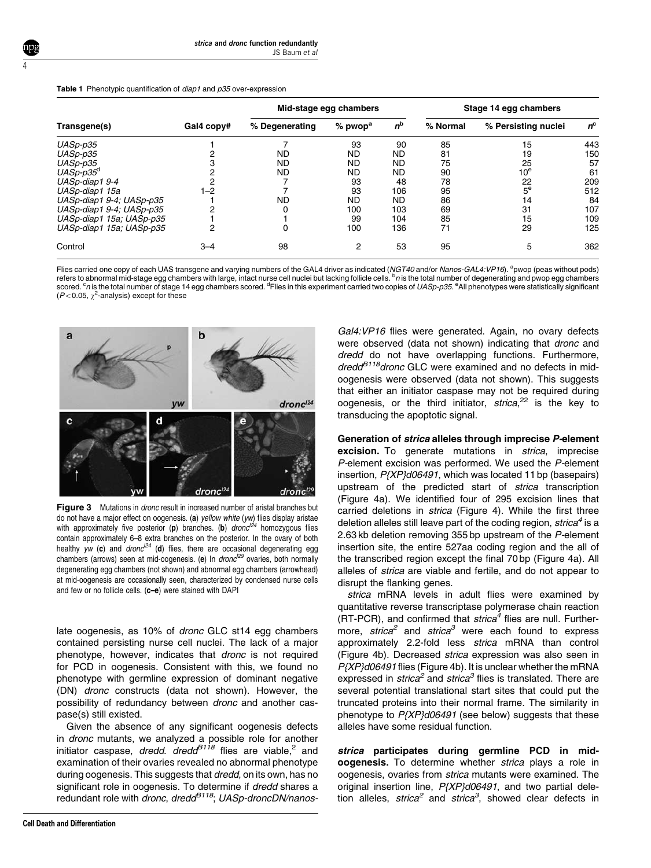|  |  | Table 1 Phenotypic quantification of <i>diap1</i> and p35 over-expression |  |  |  |
|--|--|---------------------------------------------------------------------------|--|--|--|
|--|--|---------------------------------------------------------------------------|--|--|--|

4

|                          |            | Mid-stage egg chambers |                       |             | Stage 14 egg chambers |                     |             |
|--------------------------|------------|------------------------|-----------------------|-------------|-----------------------|---------------------|-------------|
| Transgene(s)             | Gal4 copy# | % Degenerating         | $%$ pwop <sup>a</sup> | $n^{\rm b}$ | % Normal              | % Persisting nuclei | $n^{\rm c}$ |
| UASp-p35                 |            |                        | 93                    | 90          | 85                    | 15                  | 443         |
| UASp-p35                 |            | <b>ND</b>              | <b>ND</b>             | ND          | 81                    | 19                  | 150         |
| UASp-p35                 |            | <b>ND</b>              | <b>ND</b>             | <b>ND</b>   | 75                    | 25                  | 57          |
| $UASp-p35d$              |            | <b>ND</b>              | <b>ND</b>             | <b>ND</b>   | 90                    | $10^{\rm e}$        | 61          |
| UASp-diap1 9-4           |            |                        | 93                    | 48          | 78                    | 22                  | 209         |
| UASp-diap1 15a           | 1–2        |                        | 93                    | 106         | 95                    | $5^{\mathrm{e}}$    | 512         |
| UASp-diap1 9-4; UASp-p35 |            | <b>ND</b>              | <b>ND</b>             | <b>ND</b>   | 86                    | 14                  | 84          |
| UASp-diap1 9-4; UASp-p35 |            |                        | 100                   | 103         | 69                    | 31                  | 107         |
| UASp-diap1 15a; UASp-p35 |            |                        | 99                    | 104         | 85                    | 15                  | 109         |
| UASp-diap1 15a; UASp-p35 |            | 0                      | 100                   | 136         | 71                    | 29                  | 125         |
| Control                  | $3 - 4$    | 98                     | 2                     | 53          | 95                    | 5                   | 362         |

Flies carried one copy of each UAS transgene and varying numbers of the GAL4 driver as indicated (NGT40 and/or Nanos-GAL4:VP16). <sup>a</sup>pwop (peas without pods) refers to abnormal mid-stage egg chambers with large, intact nurse cell nuclei but lacking follicle cells. <sup>b</sup>n is the total number of degenerating and pwop egg chambers scored. <sup>c</sup>*n* is the total number of stage 14 egg chambers scored. <sup>d</sup>Flies in this experiment carried two copies of *UASp-p35*. <sup>e</sup>All phenotypes were statistically significant  $(P< 0.05, \chi^2$ -analysis) except for these



**Figure 3** Mutations in *dronc* result in increased number of aristal branches but do not have a major effect on oogenesis. (a) yellow white (yw) flies display aristae with approximately five posterior (p) branches. (b)  $dronc^{124}$  homozygous flies contain approximately 6–8 extra branches on the posterior. In the ovary of both healthy  $yw$  (c) and dronc<sup> $24$ </sup> (d) flies, there are occasional degenerating egg chambers (arrows) seen at mid-oogenesis. (e) In  $d$ ronc<sup> $29$ </sup> ovaries, both normally degenerating egg chambers (not shown) and abnormal egg chambers (arrowhead) at mid-oogenesis are occasionally seen, characterized by condensed nurse cells and few or no follicle cells. (c-e) were stained with DAPI

late oogenesis, as 10% of dronc GLC st14 egg chambers contained persisting nurse cell nuclei. The lack of a major phenotype, however, indicates that dronc is not required for PCD in oogenesis. Consistent with this, we found no phenotype with germline expression of dominant negative (DN) dronc constructs (data not shown). However, the possibility of redundancy between dronc and another caspase(s) still existed.

Given the absence of any significant oogenesis defects in dronc mutants, we analyzed a possible role for another initiator caspase, dredd. dredd $B^{118}$  flies are viable,<sup>2</sup> and examination of their ovaries revealed no abnormal phenotype during oogenesis. This suggests that *dredd*, on its own, has no significant role in oogenesis. To determine if *dredd* shares a redundant role with dronc, dred $d^{B118}$ ; UASp-droncDN/nanos-

Gal4:VP16 flies were generated. Again, no ovary defects were observed (data not shown) indicating that *dronc* and dredd do not have overlapping functions. Furthermore, dredd<sup>B118</sup>dronc GLC were examined and no defects in midoogenesis were observed (data not shown). This suggests that either an initiator caspase may not be required during oogenesis, or the third initiator, strica,<sup>22</sup> is the key to transducing the apoptotic signal.

Generation of strica alleles through imprecise P-element excision. To generate mutations in *strica*, imprecise P-element excision was performed. We used the P-element insertion, P{XP}d06491, which was located 11 bp (basepairs) upstream of the predicted start of strica transcription (Figure 4a). We identified four of 295 excision lines that carried deletions in strica (Figure 4). While the first three deletion alleles still leave part of the coding region,  $strica<sup>4</sup>$  is a 2.63 kb deletion removing 355 bp upstream of the P-element insertion site, the entire 527aa coding region and the all of the transcribed region except the final 70 bp (Figure 4a). All alleles of strica are viable and fertile, and do not appear to disrupt the flanking genes.

strica mRNA levels in adult flies were examined by quantitative reverse transcriptase polymerase chain reaction (RT-PCR), and confirmed that  $strica<sup>4</sup>$  flies are null. Furthermore, strica<sup>2</sup> and strica<sup>3</sup> were each found to express approximately 2.2-fold less strica mRNA than control (Figure 4b). Decreased strica expression was also seen in P{XP}d06491 flies (Figure 4b). It is unclear whether the mRNA expressed in *strica*<sup>2</sup> and *strica*<sup>3</sup> flies is translated. There are several potential translational start sites that could put the truncated proteins into their normal frame. The similarity in phenotype to  $P{XP}$ d06491 (see below) suggests that these alleles have some residual function.

strica participates during germline PCD in midoogenesis. To determine whether strica plays a role in oogenesis, ovaries from strica mutants were examined. The original insertion line,  $P{XP}$ d06491, and two partial deletion alleles, strica<sup>2</sup> and strica<sup>3</sup>, showed clear defects in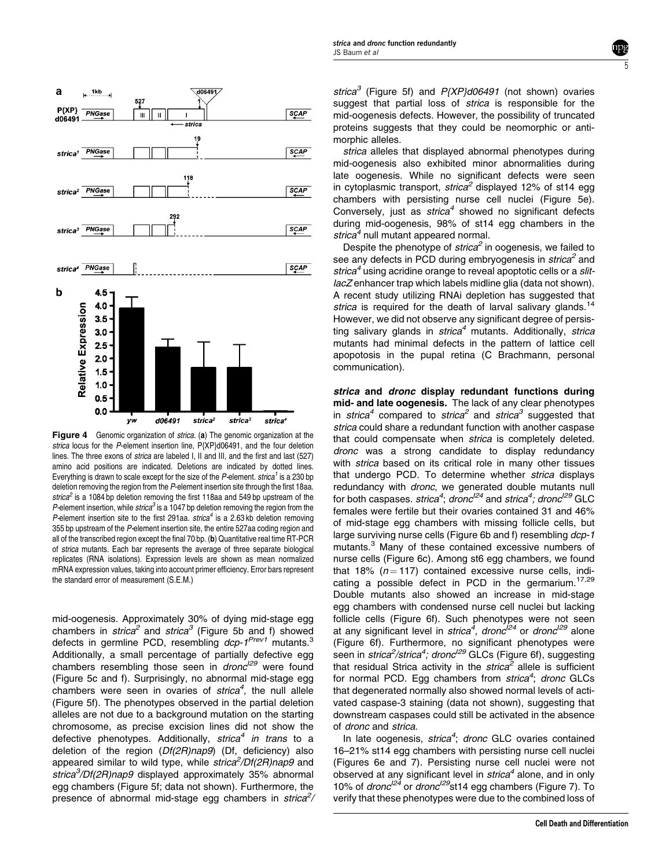

Figure 4 Genomic organization of strica. (a) The genomic organization at the strica locus for the P-element insertion line, P{XP}d06491, and the four deletion lines. The three exons of strica are labeled I, II and III, and the first and last (527) amino acid positions are indicated. Deletions are indicated by dotted lines. Everything is drawn to scale except for the size of the P-element.  $strica<sup>1</sup>$  is a 230 bp deletion removing the region from the P-element insertion site through the first 18aa. strica<sup>2</sup> is a 1084 bp deletion removing the first 118aa and 549 bp upstream of the P-element insertion, while strica<sup>3</sup> is a 1047 bp deletion removing the region from the P-element insertion site to the first 291aa.  $strica<sup>4</sup>$  is a 2.63 kb deletion removing 355 bp upstream of the P-element insertion site, the entire 527aa coding region and all of the transcribed region except the final 70 bp. (b) Quantitative real time RT-PCR of strica mutants. Each bar represents the average of three separate biological replicates (RNA isolations). Expression levels are shown as mean normalized mRNA expression values, taking into account primer efficiency. Error bars represent the standard error of measurement (S.E.M.)

mid-oogenesis. Approximately 30% of dying mid-stage egg chambers in strica<sup>2</sup> and strica<sup>3</sup> (Figure 5b and f) showed defects in germline PCD, resembling dcp-1<sup>Prev1</sup> mutants.<sup>3</sup> Additionally, a small percentage of partially defective egg chambers resembling those seen in  $dronc^{129}$  were found (Figure 5c and f). Surprisingly, no abnormal mid-stage egg chambers were seen in ovaries of strica<sup>4</sup>, the null allele (Figure 5f). The phenotypes observed in the partial deletion alleles are not due to a background mutation on the starting chromosome, as precise excision lines did not show the defective phenotypes. Additionally,  $strica<sup>4</sup>$  in trans to a deletion of the region (Df(2R)nap9) (Df, deficiency) also appeared similar to wild type, while strica<sup>2</sup>/Df(2R)nap9 and strica<sup>3</sup>/Df(2R)nap9 displayed approximately 35% abnormal egg chambers (Figure 5f; data not shown). Furthermore, the presence of abnormal mid-stage egg chambers in strica<sup>2</sup>/

strica<sup>3</sup> (Figure 5f) and  $P{XP}$ d06491 (not shown) ovaries suggest that partial loss of strica is responsible for the mid-oogenesis defects. However, the possibility of truncated proteins suggests that they could be neomorphic or antimorphic alleles.

5

strica alleles that displayed abnormal phenotypes during mid-oogenesis also exhibited minor abnormalities during late oogenesis. While no significant defects were seen in cytoplasmic transport, strica<sup>2</sup> displayed 12% of st14 egg chambers with persisting nurse cell nuclei (Figure 5e). Conversely, just as  $strica<sup>4</sup>$  showed no significant defects during mid-oogenesis, 98% of st14 egg chambers in the strica<sup>4</sup> null mutant appeared normal.

Despite the phenotype of  $strica<sup>2</sup>$  in oogenesis, we failed to see any defects in PCD during embryogenesis in  $strica<sup>2</sup>$  and strica<sup>4</sup> using acridine orange to reveal apoptotic cells or a slitlacZ enhancer trap which labels midline glia (data not shown). A recent study utilizing RNAi depletion has suggested that strica is required for the death of larval salivary glands.<sup>14</sup> However, we did not observe any significant degree of persisting salivary glands in  $strica<sup>4</sup>$  mutants. Additionally, strica mutants had minimal defects in the pattern of lattice cell apopotosis in the pupal retina (C Brachmann, personal communication).

strica and dronc display redundant functions during mid- and late oogenesis. The lack of any clear phenotypes in strica<sup>4</sup> compared to strica<sup>2</sup> and strica<sup>3</sup> suggested that strica could share a redundant function with another caspase that could compensate when strica is completely deleted. dronc was a strong candidate to display redundancy with *strica* based on its critical role in many other tissues that undergo PCD. To determine whether strica displays redundancy with dronc, we generated double mutants null for both caspases. strica<sup>4</sup>; dronc<sup>124</sup> and strica<sup>4</sup>; dronc<sup>129</sup> GLC females were fertile but their ovaries contained 31 and 46% of mid-stage egg chambers with missing follicle cells, but large surviving nurse cells (Figure 6b and f) resembling dcp-1 mutants.<sup>3</sup> Many of these contained excessive numbers of nurse cells (Figure 6c). Among st6 egg chambers, we found that 18% ( $n = 117$ ) contained excessive nurse cells, indicating a possible defect in PCD in the germarium.<sup>17,29</sup> Double mutants also showed an increase in mid-stage egg chambers with condensed nurse cell nuclei but lacking follicle cells (Figure 6f). Such phenotypes were not seen at any significant level in strica<sup>4</sup>, dronc<sup>124</sup> or dronc<sup>129</sup> alone (Figure 6f). Furthermore, no significant phenotypes were seen in *strica<sup>2</sup>/strica<sup>4</sup>; dronc<sup>I29</sup>* GLCs (Figure 6f), suggesting that residual Strica activity in the  $strica<sup>2</sup>$  allele is sufficient for normal PCD. Egg chambers from strica<sup>4</sup>; dronc GLCs that degenerated normally also showed normal levels of activated caspase-3 staining (data not shown), suggesting that downstream caspases could still be activated in the absence of dronc and strica.

In late oogenesis, strica<sup>4</sup>; dronc GLC ovaries contained 16–21% st14 egg chambers with persisting nurse cell nuclei (Figures 6e and 7). Persisting nurse cell nuclei were not observed at any significant level in  $strica<sup>4</sup>$  alone, and in only 10% of dronc<sup> $124$ </sup> or dronc<sup> $129$ </sup>st14 egg chambers (Figure 7). To verify that these phenotypes were due to the combined loss of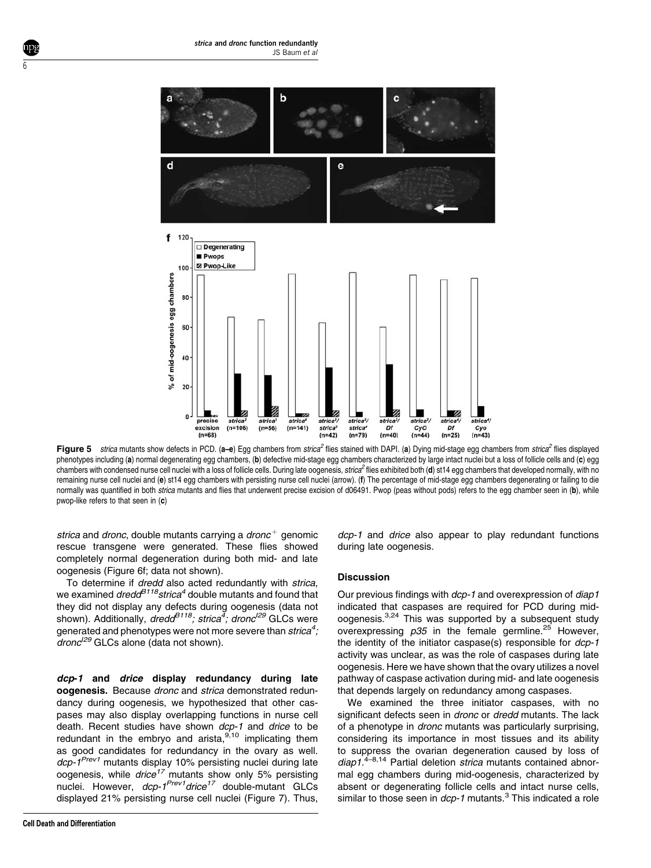

Figure 5 strica mutants show defects in PCD. (a-e) Egg chambers from strica<sup>2</sup> flies stained with DAPI. (a) Dying mid-stage egg chambers from strica<sup>2</sup> flies displayed phenotypes including (a) normal degenerating egg chambers, (b) defective mid-stage egg chambers characterized by large intact nuclei but a loss of follicle cells and (c) egg chambers with condensed nurse cell nuclei with a loss of follicle cells. During late oogenesis, strica<sup>2</sup> flies exhibited both (d) st14 egg chambers that developed normally, with no remaining nurse cell nuclei and (e) st14 egg chambers with persisting nurse cell nuclei (arrow). (f) The percentage of mid-stage egg chambers degenerating or failing to die normally was quantified in both strica mutants and flies that underwent precise excision of d06491. Pwop (peas without pods) refers to the egg chamber seen in (b), while pwop-like refers to that seen in (c)

strica and dronc, double mutants carrying a dronc<sup>+</sup> genomic rescue transgene were generated. These flies showed completely normal degeneration during both mid- and late oogenesis (Figure 6f; data not shown).

To determine if dredd also acted redundantly with strica, we examined  $\text{dredd}^{B118}$ strica<sup>4</sup> double mutants and found that they did not display any defects during oogenesis (data not shown). Additionally, *dredd<sup>B118</sup>; strica<sup>4</sup>; dronc<sup>i29</sup>* GLCs were generated and phenotypes were not more severe than  $\mathit{strica}^4$  ;  $d$ ronc<sup> $129$ </sup> GLCs alone (data not shown).

dcp-1 and drice display redundancy during late oogenesis. Because dronc and strica demonstrated redundancy during oogenesis, we hypothesized that other caspases may also display overlapping functions in nurse cell death. Recent studies have shown dcp-1 and drice to be redundant in the embryo and arista, $9,10$  implicating them as good candidates for redundancy in the ovary as well. dcp-1<sup>Prev1</sup> mutants display 10% persisting nuclei during late oogenesis, while *drice<sup>17</sup>* mutants show only 5% persisting nuclei. However, dcp-1<sup>Prev1</sup>drice<sup>17</sup> double-mutant GLCs displayed 21% persisting nurse cell nuclei (Figure 7). Thus,

6

dcp-1 and drice also appear to play redundant functions during late oogenesis.

## **Discussion**

Our previous findings with dcp-1 and overexpression of diap1 indicated that caspases are required for PCD during midoogenesis.3,24 This was supported by a subsequent study overexpressing  $p35$  in the female germline.<sup>25</sup> However. the identity of the initiator caspase(s) responsible for dcp-1 activity was unclear, as was the role of caspases during late oogenesis. Here we have shown that the ovary utilizes a novel pathway of caspase activation during mid- and late oogenesis that depends largely on redundancy among caspases.

We examined the three initiator caspases, with no significant defects seen in *dronc* or *dredd* mutants. The lack of a phenotype in dronc mutants was particularly surprising, considering its importance in most tissues and its ability to suppress the ovarian degeneration caused by loss of  $diap1.<sup>4-8,14</sup>$  Partial deletion *strica* mutants contained abnormal egg chambers during mid-oogenesis, characterized by absent or degenerating follicle cells and intact nurse cells, similar to those seen in  $dCD-1$  mutants.<sup>3</sup> This indicated a role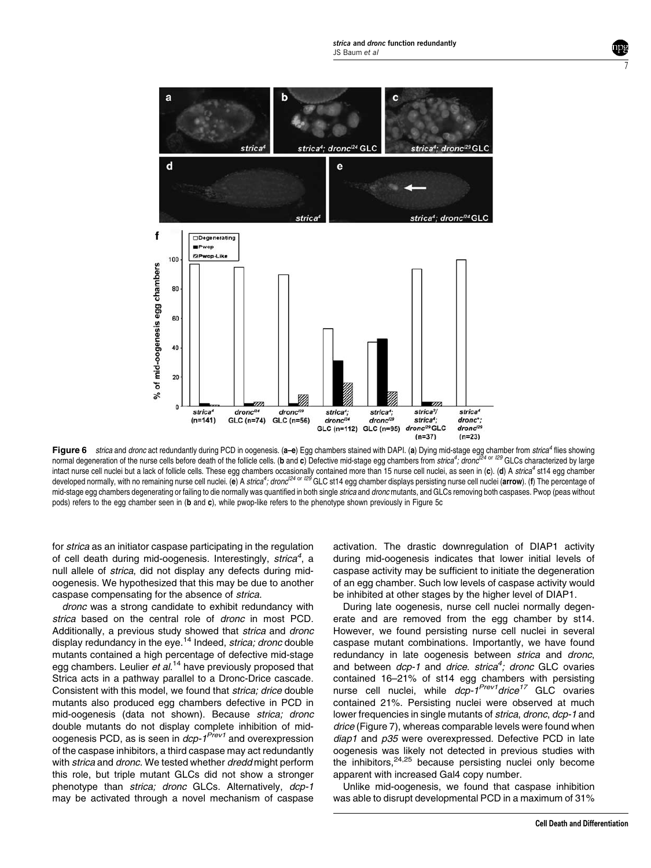

Figure 6 strica and dronc act redundantly during PCD in oogenesis. (a–e) Egg chambers stained with DAPI. (a) Dying mid-stage egg chamber from strica<sup>4</sup> flies showing normal degeneration of the nurse cells before death of the follicle cells. (b and c) Defective mid-stage egg chambers from strica<sup>4</sup>, dronc<sup>124 or I29</sup> GLCs characterized by large intact nurse cell nuclei but a lack of follicle cells. These egg chambers occasionally contained more than 15 nurse cell nuclei, as seen in (c). (d) A strica<sup>4</sup> st14 egg chamber developed normally, with no remaining nurse cell nuclei. (e) A strica<sup>4</sup>; dronc<sup>I24 or I29</sup> GLC st14 egg chamber displays persisting nurse cell nuclei (a**rrow**). (f) The percentage of mid-stage egg chambers degenerating or failing to die normally was quantified in both single strica and dronc mutants, and GLCs removing both caspases. Pwop (peas without pods) refers to the egg chamber seen in (b and c), while pwop-like refers to the phenotype shown previously in Figure 5c

for strica as an initiator caspase participating in the regulation of cell death during mid-oogenesis. Interestingly, strica<sup>4</sup>, a null allele of strica, did not display any defects during midoogenesis. We hypothesized that this may be due to another caspase compensating for the absence of strica.

dronc was a strong candidate to exhibit redundancy with strica based on the central role of *dronc* in most PCD. Additionally, a previous study showed that strica and dronc display redundancy in the eye.<sup>14</sup> Indeed, *strica; dronc* double mutants contained a high percentage of defective mid-stage egg chambers. Leulier et al.<sup>14</sup> have previously proposed that Strica acts in a pathway parallel to a Dronc-Drice cascade. Consistent with this model, we found that strica; drice double mutants also produced egg chambers defective in PCD in mid-oogenesis (data not shown). Because strica; dronc double mutants do not display complete inhibition of midoogenesis PCD, as is seen in  $dcp-1^{Prev1}$  and overexpression of the caspase inhibitors, a third caspase may act redundantly with strica and dronc. We tested whether dredd might perform this role, but triple mutant GLCs did not show a stronger phenotype than strica; dronc GLCs. Alternatively, dcp-1 may be activated through a novel mechanism of caspase

activation. The drastic downregulation of DIAP1 activity during mid-oogenesis indicates that lower initial levels of caspase activity may be sufficient to initiate the degeneration of an egg chamber. Such low levels of caspase activity would be inhibited at other stages by the higher level of DIAP1.

During late oogenesis, nurse cell nuclei normally degenerate and are removed from the egg chamber by st14. However, we found persisting nurse cell nuclei in several caspase mutant combinations. Importantly, we have found redundancy in late oogenesis between strica and dronc, and between *dcp-1* and drice. strica<sup>4</sup>; dronc GLC ovaries contained 16–21% of st14 egg chambers with persisting nurse cell nuclei, while dcp-1<sup>Prev1</sup>drice<sup>17</sup> GLC ovaries contained 21%. Persisting nuclei were observed at much lower frequencies in single mutants of *strica*, *dronc*, *dcp-1* and drice (Figure 7), whereas comparable levels were found when diap1 and p35 were overexpressed. Defective PCD in late oogenesis was likely not detected in previous studies with the inhibitors, $24,25$  because persisting nuclei only become apparent with increased Gal4 copy number.

Unlike mid-oogenesis, we found that caspase inhibition was able to disrupt developmental PCD in a maximum of 31% 7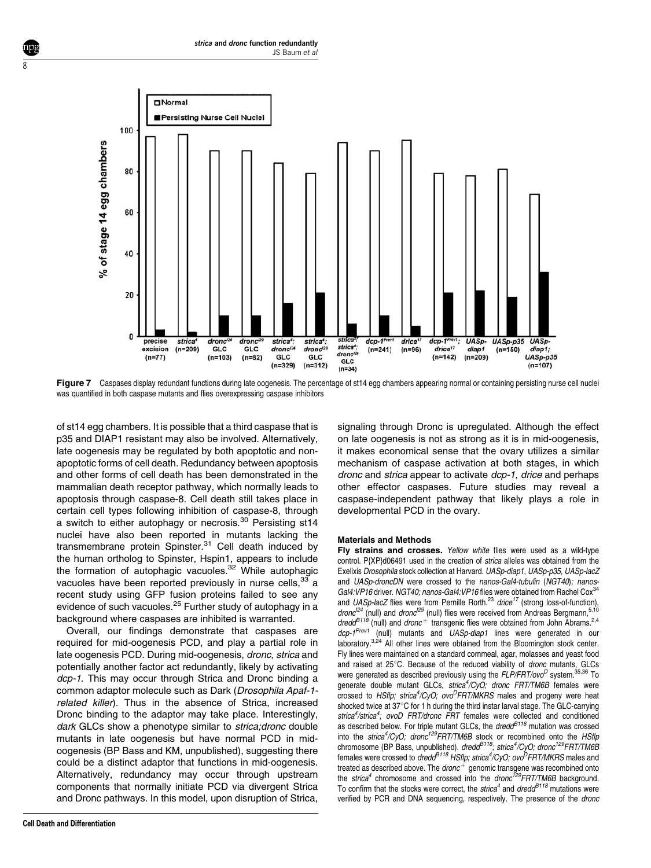

Figure 7 Caspases display redundant functions during late oogenesis. The percentage of st14 egg chambers appearing normal or containing persisting nurse cell nuclei was quantified in both caspase mutants and flies overexpressing caspase inhibitors

of st14 egg chambers. It is possible that a third caspase that is p35 and DIAP1 resistant may also be involved. Alternatively, late oogenesis may be regulated by both apoptotic and nonapoptotic forms of cell death. Redundancy between apoptosis and other forms of cell death has been demonstrated in the mammalian death receptor pathway, which normally leads to apoptosis through caspase-8. Cell death still takes place in certain cell types following inhibition of caspase-8, through a switch to either autophagy or necrosis.<sup>30</sup> Persisting st14 nuclei have also been reported in mutants lacking the transmembrane protein Spinster.<sup>31</sup> Cell death induced by the human ortholog to Spinster, Hspin1, appears to include the formation of autophagic vacuoles.<sup>32</sup> While autophagic vacuoles have been reported previously in nurse cells,  $33$  a recent study using GFP fusion proteins failed to see any evidence of such vacuoles.<sup>25</sup> Further study of autophagy in a background where caspases are inhibited is warranted.

Overall, our findings demonstrate that caspases are required for mid-oogenesis PCD, and play a partial role in late oogenesis PCD. During mid-oogenesis, dronc, strica and potentially another factor act redundantly, likely by activating dcp-1. This may occur through Strica and Dronc binding a common adaptor molecule such as Dark (Drosophila Apaf-1 related killer). Thus in the absence of Strica, increased Dronc binding to the adaptor may take place. Interestingly, dark GLCs show a phenotype similar to strica; dronc double mutants in late oogenesis but have normal PCD in midoogenesis (BP Bass and KM, unpublished), suggesting there could be a distinct adaptor that functions in mid-oogenesis. Alternatively, redundancy may occur through upstream components that normally initiate PCD via divergent Strica and Dronc pathways. In this model, upon disruption of Strica,

signaling through Dronc is upregulated. Although the effect on late oogenesis is not as strong as it is in mid-oogenesis, it makes economical sense that the ovary utilizes a similar mechanism of caspase activation at both stages, in which dronc and strica appear to activate dcp-1, drice and perhaps other effector caspases. Future studies may reveal a caspase-independent pathway that likely plays a role in developmental PCD in the ovary.

## Materials and Methods

Fly strains and crosses. Yellow white flies were used as a wild-type control. P{XP}d06491 used in the creation of strica alleles was obtained from the Exelixis Drosophila stock collection at Harvard. UASp-diap1, UASp-p35, UASp-lacZ and UASp-droncDN were crossed to the nanos-Gal4-tubulin (NGT40); nanos-Gal4: VP16 driver. NGT40; nanos-Gal4: VP16 flies were obtained from Rachel Cox<sup>34</sup> and UASp-lacZ flies were from Pernille Rorth.<sup>23</sup> drice<sup>17</sup> (strong loss-of-function),  $\frac{d}{2}$  (null) and  $\frac{d}{2}$  (null) flies were received from Andreas Bergmann,  $5,10$  $\frac{d\theta}{dt}$  (null) and  $\frac{d\theta}{dt}$  transgenic flies were obtained from John Abrams.<sup>2,4</sup><br> $\frac{d\theta}{dt}$  (null) and  $\frac{d\theta}{dt}$  transgenic flies were obtained from John Abrams.<sup>2,4</sup> (null) mutants and  $UASp$ -diap1 lines were generated in our laboratory. $3,24$  All other lines were obtained from the Bloomington stock center. Fly lines were maintained on a standard cornmeal, agar, molasses and yeast food and raised at 25°C. Because of the reduced viability of dronc mutants, GLCs were generated as described previously using the  $FLP/FRT/ovo<sup>D</sup>$  system.<sup>35,36</sup> To generate double mutant GLCs, strica<sup>4</sup>/CyO; dronc FRT/TM6B females were crossed to HSflp; strica<sup>4</sup>/CyO; ovo<sup>D</sup>FRT/MKRS males and progeny were heat shocked twice at  $37^{\circ}$ C for 1 h during the third instar larval stage. The GLC-carrying strica<sup>4</sup>/strica<sup>4</sup>; ovoD FRT/dronc FRT females were collected and conditioned<br>as described below. For triple mutant GLCs, the dredd<sup>B118</sup> mutation was crossed into the strica<sup>4</sup>/CyO; dronc<sup>129</sup>FRT/TM6B stock or recombined onto the HSflp chromosome (BP Bass, unpublished). dredd<sup>B118</sup>; strica<sup>4</sup>/CyO; dronc<sup>129</sup>FRT/TM6B females were crossed to *dredd<sup>B118</sup> HSflp; strica<sup>4</sup>/CyO; ovo<sup>D</sup>FRT/MKRS* males and treated as described above. The dronc<sup>+</sup> genomic transgene was recombined onto the strica<sup>4</sup> chromosome and crossed into the dronc<sup>129</sup>FRT/TM6B background. To confirm that the stocks were correct, the strica<sup>4</sup> and dred $d^{B118}$  mutations were verified by PCR and DNA sequencing, respectively. The presence of the dronc

8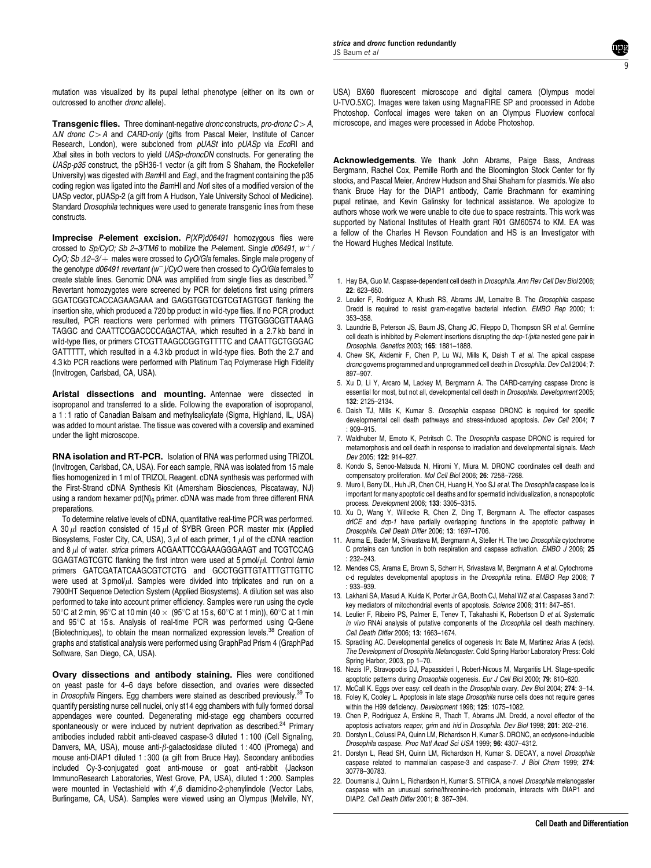**Transgenic flies.** Three dominant-negative dronc constructs, pro-dronc  $C > A$ ,  $\Delta N$  dronc  $C > A$  and CARD-only (gifts from Pascal Meier, Institute of Cancer Research, London), were subcloned from pUASt into pUASp via EcoRI and Xbal sites in both vectors to yield UASp-droncDN constructs. For generating the UASp-p35 construct, the pSH36-1 vector (a gift from S Shaham, the Rockefeller University) was digested with BamHI and EagI, and the fragment containing the p35 coding region was ligated into the BamHI and NotI sites of a modified version of the UASp vector, pUASp-2 (a gift from A Hudson, Yale University School of Medicine). Standard Drosophila techniques were used to generate transgenic lines from these constructs.

Imprecise P-element excision. P{XP}d06491 homozygous flies were crossed to  $Sp/CyO$ ; Sb 2–3/TM6 to mobilize the P-element. Single d06491,  $w^+$ / CyO; Sb  $\Delta 2 - 3/$   $+$  males were crossed to CyO/Gla females. Single male progeny of the genotype d06491 revertant (w<sup>-</sup>)/CyO were then crossed to CyO/Gla females to create stable lines. Genomic DNA was amplified from single flies as described.<sup>37</sup> Revertant homozygotes were screened by PCR for deletions first using primers GGATCGGTCACCAGAAGAAA and GAGGTGGTCGTCGTAGTGGT flanking the insertion site, which produced a 720 bp product in wild-type flies. If no PCR product resulted, PCR reactions were performed with primers TTGTGGGCGTTAAAG TAGGC and CAATTCCGACCCCAGACTAA, which resulted in a 2.7 kb band in wild-type flies, or primers CTCGTTAAGCCGGTGTTTTC and CAATTGCTGGGAC GATTTTT, which resulted in a 4.3 kb product in wild-type flies. Both the 2.7 and 4.3 kb PCR reactions were performed with Platinum Taq Polymerase High Fidelity (Invitrogen, Carlsbad, CA, USA).

Aristal dissections and mounting. Antennae were dissected in isopropanol and transferred to a slide. Following the evaporation of isopropanol, a 1 : 1 ratio of Canadian Balsam and methylsalicylate (Sigma, Highland, IL, USA) was added to mount aristae. The tissue was covered with a coverslip and examined under the light microscope.

RNA isolation and RT-PCR. Isolation of RNA was performed using TRIZOL (Invitrogen, Carlsbad, CA, USA). For each sample, RNA was isolated from 15 male flies homogenized in 1 ml of TRIZOL Reagent. cDNA synthesis was performed with the First-Strand cDNA Synthesis Kit (Amersham Biosciences, Piscataway, NJ) using a random hexamer  $pd(N)_{6}$  primer. cDNA was made from three different RNA preparations.

To determine relative levels of cDNA, quantitative real-time PCR was performed. A 30  $\mu$ l reaction consisted of 15  $\mu$ l of SYBR Green PCR master mix (Applied Biosystems, Foster City, CA, USA), 3  $\mu$ l of each primer, 1  $\mu$ l of the cDNA reaction and 8  $\mu$  of water. strica primers ACGAATTCCGAAAGGGAAGT and TCGTCCAG GGAGTAGTCGTC flanking the first intron were used at  $5$  pmol/ $\mu$ l. Control lamin primers GATCGATATCAAGCGTCTCTG and GCCTGGTTGTATTTGTTGTTC were used at  $3$  pmol/ $\mu$ l. Samples were divided into triplicates and run on a 7900HT Sequence Detection System (Applied Biosystems). A dilution set was also performed to take into account primer efficiency. Samples were run using the cycle 50°C at 2 min, 95°C at 10 min (40  $\times$  (95°C at 15 s, 60°C at 1 min)), 60°C at 1 min and 95°C at 15 s. Analysis of real-time PCR was performed using Q-Gene (Biotechniques), to obtain the mean normalized expression levels.<sup>38</sup> Creation of graphs and statistical analysis were performed using GraphPad Prism 4 (GraphPad Software, San Diego, CA, USA).

Ovary dissections and antibody staining. Flies were conditioned on yeast paste for 4–6 days before dissection, and ovaries were dissected in *Drosophila* Ringers. Egg chambers were stained as described previously.<sup>39</sup> To quantify persisting nurse cell nuclei, only st14 egg chambers with fully formed dorsal appendages were counted. Degenerating mid-stage egg chambers occurred spontaneously or were induced by nutrient deprivation as described.<sup>24</sup> Primary antibodies included rabbit anti-cleaved caspase-3 diluted 1 : 100 (Cell Signaling, Danvers, MA, USA), mouse anti- $\beta$ -galactosidase diluted 1:400 (Promega) and mouse anti-DIAP1 diluted 1 : 300 (a gift from Bruce Hay). Secondary antibodies included Cy-3-conjugated goat anti-mouse or goat anti-rabbit (Jackson ImmunoResearch Laboratories, West Grove, PA, USA), diluted 1 : 200. Samples were mounted in Vectashield with 4',6 diamidino-2-phenylindole (Vector Labs, Burlingame, CA, USA). Samples were viewed using an Olympus (Melville, NY,

USA) BX60 fluorescent microscope and digital camera (Olympus model U-TVO.5XC). Images were taken using MagnaFIRE SP and processed in Adobe Photoshop. Confocal images were taken on an Olympus Fluoview confocal microscope, and images were processed in Adobe Photoshop.

9

Acknowledgements. We thank John Abrams, Paige Bass, Andreas Bergmann, Rachel Cox, Pernille Rorth and the Bloomington Stock Center for fly stocks, and Pascal Meier, Andrew Hudson and Shai Shaham for plasmids. We also thank Bruce Hay for the DIAP1 antibody, Carrie Brachmann for examining pupal retinae, and Kevin Galinsky for technical assistance. We apologize to authors whose work we were unable to cite due to space restraints. This work was supported by National Institutes of Health grant R01 GM60574 to KM. EA was a fellow of the Charles H Revson Foundation and HS is an Investigator with the Howard Hughes Medical Institute.

- 1. Hay BA, Guo M. Caspase-dependent cell death in Drosophila. Ann Rev Cell Dev Biol 2006; 22: 623–650.
- 2. Leulier F, Rodriguez A, Khush RS, Abrams JM, Lemaitre B. The Drosophila caspase Dredd is required to resist gram-negative bacterial infection. EMBO Rep 2000; 1: 353–358.
- 3. Laundrie B, Peterson JS, Baum JS, Chang JC, Fileppo D, Thompson SR et al. Germline cell death is inhibited by P-element insertions disrupting the dcp-1/pita nested gene pair in Drosophila. Genetics 2003; 165: 1881–1888.
- 4. Chew SK, Akdemir F, Chen P, Lu WJ, Mills K, Daish T et al. The apical caspase dronc governs programmed and unprogrammed cell death in Drosophila. Dev Cell 2004; 7: 897–907.
- 5. Xu D, Li Y, Arcaro M, Lackey M, Bergmann A. The CARD-carrying caspase Dronc is essential for most, but not all, developmental cell death in Drosophila. Development 2005; 132: 2125–2134.
- 6. Daish TJ, Mills K, Kumar S. Drosophila caspase DRONC is required for specific developmental cell death pathways and stress-induced apoptosis. Dev Cell 2004; 7 : 909–915.
- 7. Waldhuber M, Emoto K, Petritsch C. The Drosophila caspase DRONC is required for metamorphosis and cell death in response to irradiation and developmental signals. Mech Dev 2005; 122: 914–927.
- 8. Kondo S, Senoo-Matsuda N, Hiromi Y, Miura M. DRONC coordinates cell death and compensatory proliferation. Mol Cell Biol 2006; 26: 7258–7268.
- 9. Muro I, Berry DL, Huh JR, Chen CH, Huang H, Yoo SJ et al. The Drosophila caspase Ice is important for many apoptotic cell deaths and for spermatid individualization, a nonapoptotic process. Development 2006; 133: 3305–3315.
- 10. Xu D, Wang Y, Willecke R, Chen Z, Ding T, Bergmann A. The effector caspases drICE and dcp-1 have partially overlapping functions in the apoptotic pathway in Drosophila. Cell Death Differ 2006; 13: 1697–1706.
- 11. Arama E, Bader M, Srivastava M, Bergmann A, Steller H. The two Drosophila cytochrome C proteins can function in both respiration and caspase activation. EMBO J 2006; 25 : 232–243.
- 12. Mendes CS, Arama E, Brown S, Scherr H, Srivastava M, Bergmann A et al. Cytochrome c-d regulates developmental apoptosis in the *Drosophila* retina. EMBO Rep 2006: 7 : 933–939.
- 13. Lakhani SA, Masud A, Kuida K, Porter Jr GA, Booth CJ, Mehal WZ et al. Caspases 3 and 7: key mediators of mitochondrial events of apoptosis. Science 2006; 311: 847–851.
- 14. Leulier F. Ribeiro PS, Palmer E. Tenev T. Takahashi K. Robertson D et al. Systematic in vivo RNAi analysis of putative components of the Drosophila cell death machinery. Cell Death Differ 2006; 13: 1663–1674.
- 15. Spradling AC. Developmental genetics of oogenesis In: Bate M, Martinez Arias A (eds). The Development of Drosophila Melanogaster. Cold Spring Harbor Laboratory Press: Cold Spring Harbor, 2003, pp 1–70.
- 16. Nezis IP, Stravopodis DJ, Papassideri I, Robert-Nicous M, Margaritis LH. Stage-specific apoptotic patterns during Drosophila oogenesis. Eur J Cell Biol 2000; 79: 610–620.
- 17. McCall K. Eggs over easy: cell death in the Drosophila ovary. Dev Biol 2004; 274: 3-14.
- 18. Foley K, Cooley L. Apoptosis in late stage Drosophila nurse cells does not require genes within the H99 deficiency. Development 1998; 125: 1075–1082.
- 19. Chen P, Rodriguez A, Erskine R, Thach T, Abrams JM. Dredd, a novel effector of the apoptosis activators reaper, grim and hid in Drosophila. Dev Biol 1998; 201: 202–216.
- 20. Dorstyn L, Colussi PA, Quinn LM, Richardson H, Kumar S. DRONC, an ecdysone-inducible Drosophila caspase. Proc Natl Acad Sci USA 1999; 96: 4307–4312.
- 21. Dorstyn L, Read SH, Quinn LM, Richardson H, Kumar S, DECAY, a novel Drosophila caspase related to mammalian caspase-3 and caspase-7. J Biol Chem 1999; 274: 30778–30783.
- 22. Doumanis J, Quinn L, Richardson H, Kumar S. STRICA, a novel Drosophila melanogaster caspase with an unusual serine/threonine-rich prodomain, interacts with DIAP1 and DIAP2. Cell Death Differ 2001; 8: 387–394.